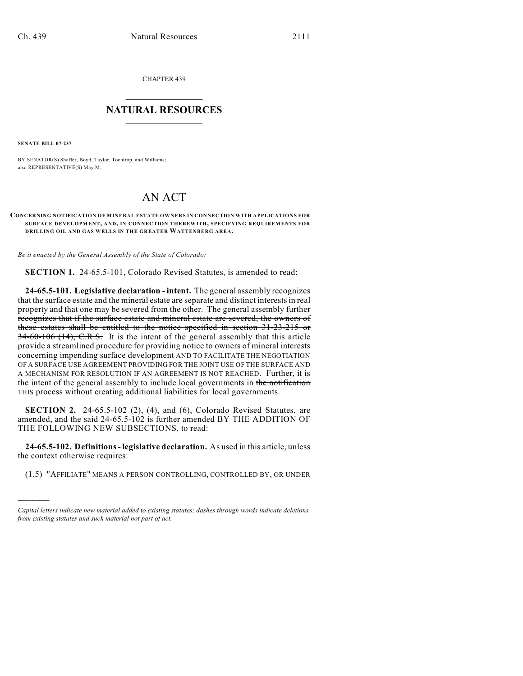CHAPTER 439

## $\overline{\phantom{a}}$  . The set of the set of the set of the set of the set of the set of the set of the set of the set of the set of the set of the set of the set of the set of the set of the set of the set of the set of the set o **NATURAL RESOURCES**  $\frac{1}{\sqrt{2}}$  , where  $\frac{1}{\sqrt{2}}$  ,  $\frac{1}{\sqrt{2}}$  ,  $\frac{1}{\sqrt{2}}$

**SENATE BILL 07-237**

)))))

BY SENATOR(S) Shaffer, Boyd, Taylor, Tochtrop, and Williams; also REPRESENTATIVE(S) May M.

# AN ACT

#### **CONCERNING NOTIFICATION OF MINERAL ESTATE OWNERS IN CONNECTION WITH APPLICATIONS FOR SURFACE DEVELOPMENT, AND, IN CONNECTION THEREWITH, SPECIFYING REQUIREMENTS FOR DRILLING OIL AND GAS WELLS IN THE GREATER WATTENBERG AREA.**

*Be it enacted by the General Assembly of the State of Colorado:*

**SECTION 1.** 24-65.5-101, Colorado Revised Statutes, is amended to read:

**24-65.5-101. Legislative declaration - intent.** The general assembly recognizes that the surface estate and the mineral estate are separate and distinct interests in real property and that one may be severed from the other. The general assembly further recognizes that if the surface estate and mineral estate are severed, the owners of these estates shall be entitled to the notice specified in section 31-23-215 or 34-60-106 (14), C.R.S. It is the intent of the general assembly that this article provide a streamlined procedure for providing notice to owners of mineral interests concerning impending surface development AND TO FACILITATE THE NEGOTIATION OF A SURFACE USE AGREEMENT PROVIDING FOR THE JOINT USE OF THE SURFACE AND A MECHANISM FOR RESOLUTION IF AN AGREEMENT IS NOT REACHED. Further, it is the intent of the general assembly to include local governments in the notification THIS process without creating additional liabilities for local governments.

**SECTION 2.** 24-65.5-102 (2), (4), and (6), Colorado Revised Statutes, are amended, and the said 24-65.5-102 is further amended BY THE ADDITION OF THE FOLLOWING NEW SUBSECTIONS, to read:

**24-65.5-102. Definitions - legislative declaration.** As used in this article, unless the context otherwise requires:

(1.5) "AFFILIATE" MEANS A PERSON CONTROLLING, CONTROLLED BY, OR UNDER

*Capital letters indicate new material added to existing statutes; dashes through words indicate deletions from existing statutes and such material not part of act.*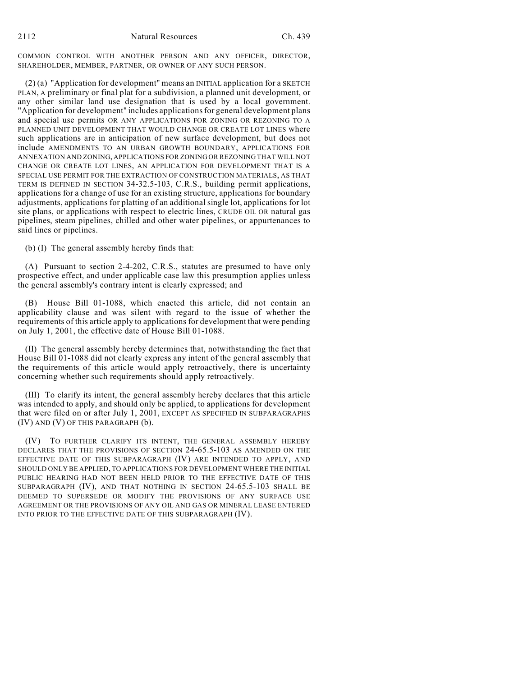COMMON CONTROL WITH ANOTHER PERSON AND ANY OFFICER, DIRECTOR, SHAREHOLDER, MEMBER, PARTNER, OR OWNER OF ANY SUCH PERSON.

 $(2)$  (a) "Application for development" means an INITIAL application for a SKETCH PLAN, A preliminary or final plat for a subdivision, a planned unit development, or any other similar land use designation that is used by a local government. "Application for development" includes applications for general development plans and special use permits OR ANY APPLICATIONS FOR ZONING OR REZONING TO A PLANNED UNIT DEVELOPMENT THAT WOULD CHANGE OR CREATE LOT LINES where such applications are in anticipation of new surface development, but does not include AMENDMENTS TO AN URBAN GROWTH BOUNDARY, APPLICATIONS FOR ANNEXATION AND ZONING, APPLICATIONS FOR ZONING OR REZONING THAT WILL NOT CHANGE OR CREATE LOT LINES, AN APPLICATION FOR DEVELOPMENT THAT IS A SPECIAL USE PERMIT FOR THE EXTRACTION OF CONSTRUCTION MATERIALS, AS THAT TERM IS DEFINED IN SECTION 34-32.5-103, C.R.S., building permit applications, applications for a change of use for an existing structure, applications for boundary adjustments, applications for platting of an additional single lot, applications for lot site plans, or applications with respect to electric lines, CRUDE OIL OR natural gas pipelines, steam pipelines, chilled and other water pipelines, or appurtenances to said lines or pipelines.

(b) (I) The general assembly hereby finds that:

(A) Pursuant to section 2-4-202, C.R.S., statutes are presumed to have only prospective effect, and under applicable case law this presumption applies unless the general assembly's contrary intent is clearly expressed; and

(B) House Bill 01-1088, which enacted this article, did not contain an applicability clause and was silent with regard to the issue of whether the requirements of this article apply to applications for development that were pending on July 1, 2001, the effective date of House Bill 01-1088.

(II) The general assembly hereby determines that, notwithstanding the fact that House Bill 01-1088 did not clearly express any intent of the general assembly that the requirements of this article would apply retroactively, there is uncertainty concerning whether such requirements should apply retroactively.

(III) To clarify its intent, the general assembly hereby declares that this article was intended to apply, and should only be applied, to applications for development that were filed on or after July 1, 2001, EXCEPT AS SPECIFIED IN SUBPARAGRAPHS (IV) AND (V) OF THIS PARAGRAPH (b).

(IV) TO FURTHER CLARIFY ITS INTENT, THE GENERAL ASSEMBLY HEREBY DECLARES THAT THE PROVISIONS OF SECTION 24-65.5-103 AS AMENDED ON THE EFFECTIVE DATE OF THIS SUBPARAGRAPH (IV) ARE INTENDED TO APPLY, AND SHOULD ONLY BE APPLIED, TO APPLICATIONS FOR DEVELOPMENT WHERE THE INITIAL PUBLIC HEARING HAD NOT BEEN HELD PRIOR TO THE EFFECTIVE DATE OF THIS SUBPARAGRAPH (IV), AND THAT NOTHING IN SECTION 24-65.5-103 SHALL BE DEEMED TO SUPERSEDE OR MODIFY THE PROVISIONS OF ANY SURFACE USE AGREEMENT OR THE PROVISIONS OF ANY OIL AND GAS OR MINERAL LEASE ENTERED INTO PRIOR TO THE EFFECTIVE DATE OF THIS SUBPARAGRAPH (IV).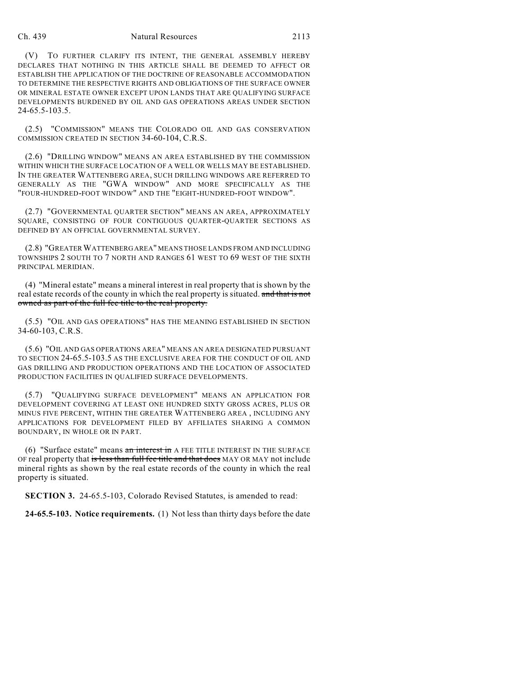#### Ch. 439 Natural Resources 2113

(V) TO FURTHER CLARIFY ITS INTENT, THE GENERAL ASSEMBLY HEREBY DECLARES THAT NOTHING IN THIS ARTICLE SHALL BE DEEMED TO AFFECT OR ESTABLISH THE APPLICATION OF THE DOCTRINE OF REASONABLE ACCOMMODATION TO DETERMINE THE RESPECTIVE RIGHTS AND OBLIGATIONS OF THE SURFACE OWNER OR MINERAL ESTATE OWNER EXCEPT UPON LANDS THAT ARE QUALIFYING SURFACE DEVELOPMENTS BURDENED BY OIL AND GAS OPERATIONS AREAS UNDER SECTION 24-65.5-103.5.

(2.5) "COMMISSION" MEANS THE COLORADO OIL AND GAS CONSERVATION COMMISSION CREATED IN SECTION 34-60-104, C.R.S.

(2.6) "DRILLING WINDOW" MEANS AN AREA ESTABLISHED BY THE COMMISSION WITHIN WHICH THE SURFACE LOCATION OF A WELL OR WELLS MAY BE ESTABLISHED. IN THE GREATER WATTENBERG AREA, SUCH DRILLING WINDOWS ARE REFERRED TO GENERALLY AS THE "GWA WINDOW" AND MORE SPECIFICALLY AS THE "FOUR-HUNDRED-FOOT WINDOW" AND THE "EIGHT-HUNDRED-FOOT WINDOW".

(2.7) "GOVERNMENTAL QUARTER SECTION" MEANS AN AREA, APPROXIMATELY SQUARE, CONSISTING OF FOUR CONTIGUOUS QUARTER-QUARTER SECTIONS AS DEFINED BY AN OFFICIAL GOVERNMENTAL SURVEY.

(2.8) "GREATERWATTENBERG AREA" MEANS THOSE LANDS FROM AND INCLUDING TOWNSHIPS 2 SOUTH TO 7 NORTH AND RANGES 61 WEST TO 69 WEST OF THE SIXTH PRINCIPAL MERIDIAN.

(4) "Mineral estate" means a mineral interest in real property that is shown by the real estate records of the county in which the real property is situated. and that is not owned as part of the full fee title to the real property.

(5.5) "OIL AND GAS OPERATIONS" HAS THE MEANING ESTABLISHED IN SECTION 34-60-103, C.R.S.

(5.6) "OIL AND GAS OPERATIONS AREA" MEANS AN AREA DESIGNATED PURSUANT TO SECTION 24-65.5-103.5 AS THE EXCLUSIVE AREA FOR THE CONDUCT OF OIL AND GAS DRILLING AND PRODUCTION OPERATIONS AND THE LOCATION OF ASSOCIATED PRODUCTION FACILITIES IN QUALIFIED SURFACE DEVELOPMENTS.

(5.7) "QUALIFYING SURFACE DEVELOPMENT" MEANS AN APPLICATION FOR DEVELOPMENT COVERING AT LEAST ONE HUNDRED SIXTY GROSS ACRES, PLUS OR MINUS FIVE PERCENT, WITHIN THE GREATER WATTENBERG AREA , INCLUDING ANY APPLICATIONS FOR DEVELOPMENT FILED BY AFFILIATES SHARING A COMMON BOUNDARY, IN WHOLE OR IN PART.

(6) "Surface estate" means an interest in A FEE TITLE INTEREST IN THE SURFACE OF real property that is less than full fee title and that does MAY OR MAY not include mineral rights as shown by the real estate records of the county in which the real property is situated.

**SECTION 3.** 24-65.5-103, Colorado Revised Statutes, is amended to read:

**24-65.5-103. Notice requirements.** (1) Not less than thirty days before the date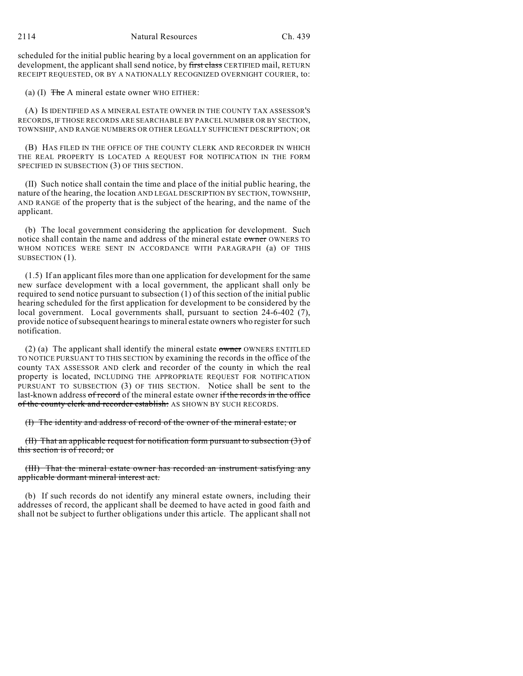scheduled for the initial public hearing by a local government on an application for development, the applicant shall send notice, by first class CERTIFIED mail, RETURN RECEIPT REQUESTED, OR BY A NATIONALLY RECOGNIZED OVERNIGHT COURIER, to:

(a) (I)  $\overline{f}$  The A mineral estate owner WHO EITHER:

(A) IS IDENTIFIED AS A MINERAL ESTATE OWNER IN THE COUNTY TAX ASSESSOR'S RECORDS, IF THOSE RECORDS ARE SEARCHABLE BY PARCEL NUMBER OR BY SECTION, TOWNSHIP, AND RANGE NUMBERS OR OTHER LEGALLY SUFFICIENT DESCRIPTION; OR

(B) HAS FILED IN THE OFFICE OF THE COUNTY CLERK AND RECORDER IN WHICH THE REAL PROPERTY IS LOCATED A REQUEST FOR NOTIFICATION IN THE FORM SPECIFIED IN SUBSECTION (3) OF THIS SECTION.

(II) Such notice shall contain the time and place of the initial public hearing, the nature of the hearing, the location AND LEGAL DESCRIPTION BY SECTION, TOWNSHIP, AND RANGE of the property that is the subject of the hearing, and the name of the applicant.

(b) The local government considering the application for development. Such notice shall contain the name and address of the mineral estate owner OWNERS TO WHOM NOTICES WERE SENT IN ACCORDANCE WITH PARAGRAPH (a) OF THIS SUBSECTION  $(1)$ .

(1.5) If an applicant files more than one application for development for the same new surface development with a local government, the applicant shall only be required to send notice pursuant to subsection (1) of this section of the initial public hearing scheduled for the first application for development to be considered by the local government. Local governments shall, pursuant to section 24-6-402 (7), provide notice of subsequent hearings to mineral estate owners who register for such notification.

(2) (a) The applicant shall identify the mineral estate owner OWNERS ENTITLED TO NOTICE PURSUANT TO THIS SECTION by examining the records in the office of the county TAX ASSESSOR AND clerk and recorder of the county in which the real property is located, INCLUDING THE APPROPRIATE REQUEST FOR NOTIFICATION PURSUANT TO SUBSECTION (3) OF THIS SECTION. Notice shall be sent to the last-known address of record of the mineral estate owner if the records in the office of the county clerk and recorder establish: AS SHOWN BY SUCH RECORDS.

(I) The identity and address of record of the owner of the mineral estate; or

(II) That an applicable request for notification form pursuant to subsection (3) of this section is of record; or

(III) That the mineral estate owner has recorded an instrument satisfying any applicable dormant mineral interest act.

(b) If such records do not identify any mineral estate owners, including their addresses of record, the applicant shall be deemed to have acted in good faith and shall not be subject to further obligations under this article. The applicant shall not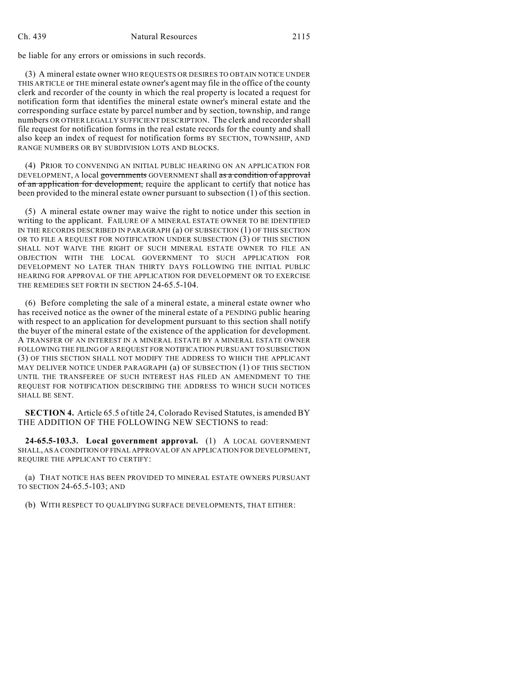be liable for any errors or omissions in such records.

(3) A mineral estate owner WHO REQUESTS OR DESIRES TO OBTAIN NOTICE UNDER THIS ARTICLE or THE mineral estate owner's agent may file in the office of the county clerk and recorder of the county in which the real property is located a request for notification form that identifies the mineral estate owner's mineral estate and the corresponding surface estate by parcel number and by section, township, and range numbers OR OTHER LEGALLY SUFFICIENT DESCRIPTION. The clerk and recorder shall file request for notification forms in the real estate records for the county and shall also keep an index of request for notification forms BY SECTION, TOWNSHIP, AND RANGE NUMBERS OR BY SUBDIVISION LOTS AND BLOCKS.

(4) PRIOR TO CONVENING AN INITIAL PUBLIC HEARING ON AN APPLICATION FOR DEVELOPMENT, A local governments GOVERNMENT shall as a condition of approval of an application for development, require the applicant to certify that notice has been provided to the mineral estate owner pursuant to subsection (1) of this section.

(5) A mineral estate owner may waive the right to notice under this section in writing to the applicant. FAILURE OF A MINERAL ESTATE OWNER TO BE IDENTIFIED IN THE RECORDS DESCRIBED IN PARAGRAPH (a) OF SUBSECTION (1) OF THIS SECTION OR TO FILE A REQUEST FOR NOTIFICATION UNDER SUBSECTION (3) OF THIS SECTION SHALL NOT WAIVE THE RIGHT OF SUCH MINERAL ESTATE OWNER TO FILE AN OBJECTION WITH THE LOCAL GOVERNMENT TO SUCH APPLICATION FOR DEVELOPMENT NO LATER THAN THIRTY DAYS FOLLOWING THE INITIAL PUBLIC HEARING FOR APPROVAL OF THE APPLICATION FOR DEVELOPMENT OR TO EXERCISE THE REMEDIES SET FORTH IN SECTION 24-65.5-104.

(6) Before completing the sale of a mineral estate, a mineral estate owner who has received notice as the owner of the mineral estate of a PENDING public hearing with respect to an application for development pursuant to this section shall notify the buyer of the mineral estate of the existence of the application for development. A TRANSFER OF AN INTEREST IN A MINERAL ESTATE BY A MINERAL ESTATE OWNER FOLLOWING THE FILING OF A REQUEST FOR NOTIFICATION PURSUANT TO SUBSECTION (3) OF THIS SECTION SHALL NOT MODIFY THE ADDRESS TO WHICH THE APPLICANT MAY DELIVER NOTICE UNDER PARAGRAPH (a) OF SUBSECTION (1) OF THIS SECTION UNTIL THE TRANSFEREE OF SUCH INTEREST HAS FILED AN AMENDMENT TO THE REQUEST FOR NOTIFICATION DESCRIBING THE ADDRESS TO WHICH SUCH NOTICES SHALL BE SENT.

**SECTION 4.** Article 65.5 of title 24, Colorado Revised Statutes, is amended BY THE ADDITION OF THE FOLLOWING NEW SECTIONS to read:

**24-65.5-103.3. Local government approval.** (1) A LOCAL GOVERNMENT SHALL, AS A CONDITION OF FINAL APPROVAL OF AN APPLICATION FOR DEVELOPMENT, REQUIRE THE APPLICANT TO CERTIFY:

(a) THAT NOTICE HAS BEEN PROVIDED TO MINERAL ESTATE OWNERS PURSUANT TO SECTION 24-65.5-103; AND

(b) WITH RESPECT TO QUALIFYING SURFACE DEVELOPMENTS, THAT EITHER: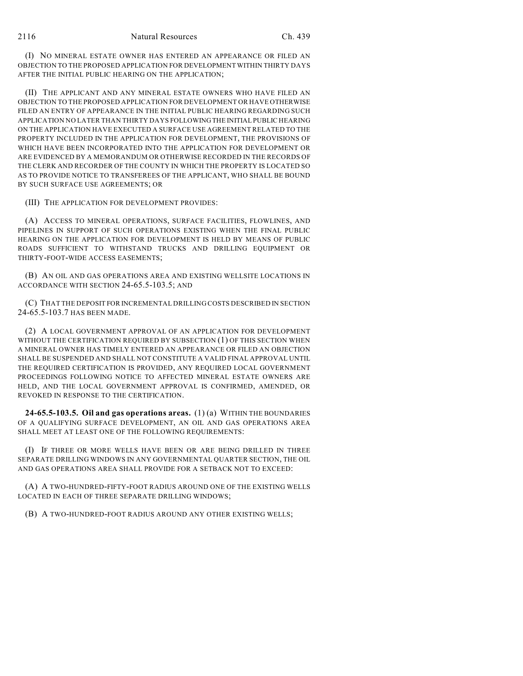(I) NO MINERAL ESTATE OWNER HAS ENTERED AN APPEARANCE OR FILED AN OBJECTION TO THE PROPOSED APPLICATION FOR DEVELOPMENT WITHIN THIRTY DAYS AFTER THE INITIAL PUBLIC HEARING ON THE APPLICATION;

(II) THE APPLICANT AND ANY MINERAL ESTATE OWNERS WHO HAVE FILED AN OBJECTION TO THE PROPOSED APPLICATION FOR DEVELOPMENT OR HAVE OTHERWISE FILED AN ENTRY OF APPEARANCE IN THE INITIAL PUBLIC HEARING REGARDING SUCH APPLICATION NO LATER THAN THIRTY DAYS FOLLOWING THE INITIAL PUBLIC HEARING ON THE APPLICATION HAVE EXECUTED A SURFACE USE AGREEMENT RELATED TO THE PROPERTY INCLUDED IN THE APPLICATION FOR DEVELOPMENT, THE PROVISIONS OF WHICH HAVE BEEN INCORPORATED INTO THE APPLICATION FOR DEVELOPMENT OR ARE EVIDENCED BY A MEMORANDUM OR OTHERWISE RECORDED IN THE RECORDS OF THE CLERK AND RECORDER OF THE COUNTY IN WHICH THE PROPERTY IS LOCATED SO AS TO PROVIDE NOTICE TO TRANSFEREES OF THE APPLICANT, WHO SHALL BE BOUND BY SUCH SURFACE USE AGREEMENTS; OR

(III) THE APPLICATION FOR DEVELOPMENT PROVIDES:

(A) ACCESS TO MINERAL OPERATIONS, SURFACE FACILITIES, FLOWLINES, AND PIPELINES IN SUPPORT OF SUCH OPERATIONS EXISTING WHEN THE FINAL PUBLIC HEARING ON THE APPLICATION FOR DEVELOPMENT IS HELD BY MEANS OF PUBLIC ROADS SUFFICIENT TO WITHSTAND TRUCKS AND DRILLING EQUIPMENT OR THIRTY-FOOT-WIDE ACCESS EASEMENTS;

(B) AN OIL AND GAS OPERATIONS AREA AND EXISTING WELLSITE LOCATIONS IN ACCORDANCE WITH SECTION 24-65.5-103.5; AND

(C) THAT THE DEPOSIT FOR INCREMENTAL DRILLING COSTS DESCRIBED IN SECTION 24-65.5-103.7 HAS BEEN MADE.

(2) A LOCAL GOVERNMENT APPROVAL OF AN APPLICATION FOR DEVELOPMENT WITHOUT THE CERTIFICATION REQUIRED BY SUBSECTION (1) OF THIS SECTION WHEN A MINERAL OWNER HAS TIMELY ENTERED AN APPEARANCE OR FILED AN OBJECTION SHALL BE SUSPENDED AND SHALL NOT CONSTITUTE A VALID FINAL APPROVAL UNTIL THE REQUIRED CERTIFICATION IS PROVIDED, ANY REQUIRED LOCAL GOVERNMENT PROCEEDINGS FOLLOWING NOTICE TO AFFECTED MINERAL ESTATE OWNERS ARE HELD, AND THE LOCAL GOVERNMENT APPROVAL IS CONFIRMED, AMENDED, OR REVOKED IN RESPONSE TO THE CERTIFICATION.

**24-65.5-103.5. Oil and gas operations areas.** (1) (a) WITHIN THE BOUNDARIES OF A QUALIFYING SURFACE DEVELOPMENT, AN OIL AND GAS OPERATIONS AREA SHALL MEET AT LEAST ONE OF THE FOLLOWING REQUIREMENTS:

(I) IF THREE OR MORE WELLS HAVE BEEN OR ARE BEING DRILLED IN THREE SEPARATE DRILLING WINDOWS IN ANY GOVERNMENTAL QUARTER SECTION, THE OIL AND GAS OPERATIONS AREA SHALL PROVIDE FOR A SETBACK NOT TO EXCEED:

(A) A TWO-HUNDRED-FIFTY-FOOT RADIUS AROUND ONE OF THE EXISTING WELLS LOCATED IN EACH OF THREE SEPARATE DRILLING WINDOWS;

(B) A TWO-HUNDRED-FOOT RADIUS AROUND ANY OTHER EXISTING WELLS;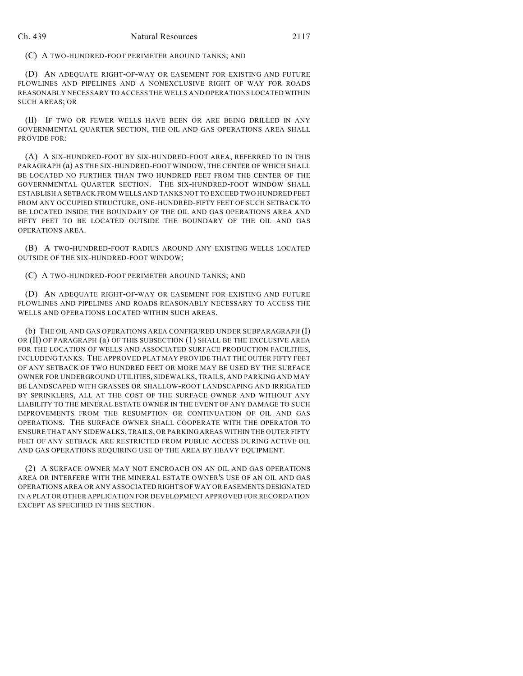#### (C) A TWO-HUNDRED-FOOT PERIMETER AROUND TANKS; AND

(D) AN ADEQUATE RIGHT-OF-WAY OR EASEMENT FOR EXISTING AND FUTURE FLOWLINES AND PIPELINES AND A NONEXCLUSIVE RIGHT OF WAY FOR ROADS REASONABLY NECESSARY TO ACCESS THE WELLS AND OPERATIONS LOCATED WITHIN SUCH AREAS; OR

(II) IF TWO OR FEWER WELLS HAVE BEEN OR ARE BEING DRILLED IN ANY GOVERNMENTAL QUARTER SECTION, THE OIL AND GAS OPERATIONS AREA SHALL PROVIDE FOR:

(A) A SIX-HUNDRED-FOOT BY SIX-HUNDRED-FOOT AREA, REFERRED TO IN THIS PARAGRAPH (a) AS THE SIX-HUNDRED-FOOT WINDOW, THE CENTER OF WHICH SHALL BE LOCATED NO FURTHER THAN TWO HUNDRED FEET FROM THE CENTER OF THE GOVERNMENTAL QUARTER SECTION. THE SIX-HUNDRED-FOOT WINDOW SHALL ESTABLISH A SETBACK FROM WELLS AND TANKS NOT TO EXCEED TWO HUNDRED FEET FROM ANY OCCUPIED STRUCTURE, ONE-HUNDRED-FIFTY FEET OF SUCH SETBACK TO BE LOCATED INSIDE THE BOUNDARY OF THE OIL AND GAS OPERATIONS AREA AND FIFTY FEET TO BE LOCATED OUTSIDE THE BOUNDARY OF THE OIL AND GAS OPERATIONS AREA.

(B) A TWO-HUNDRED-FOOT RADIUS AROUND ANY EXISTING WELLS LOCATED OUTSIDE OF THE SIX-HUNDRED-FOOT WINDOW;

(C) A TWO-HUNDRED-FOOT PERIMETER AROUND TANKS; AND

(D) AN ADEQUATE RIGHT-OF-WAY OR EASEMENT FOR EXISTING AND FUTURE FLOWLINES AND PIPELINES AND ROADS REASONABLY NECESSARY TO ACCESS THE WELLS AND OPERATIONS LOCATED WITHIN SUCH AREAS.

(b) THE OIL AND GAS OPERATIONS AREA CONFIGURED UNDER SUBPARAGRAPH (I) OR (II) OF PARAGRAPH (a) OF THIS SUBSECTION (1) SHALL BE THE EXCLUSIVE AREA FOR THE LOCATION OF WELLS AND ASSOCIATED SURFACE PRODUCTION FACILITIES, INCLUDING TANKS. THE APPROVED PLAT MAY PROVIDE THAT THE OUTER FIFTY FEET OF ANY SETBACK OF TWO HUNDRED FEET OR MORE MAY BE USED BY THE SURFACE OWNER FOR UNDERGROUND UTILITIES, SIDEWALKS, TRAILS, AND PARKING AND MAY BE LANDSCAPED WITH GRASSES OR SHALLOW-ROOT LANDSCAPING AND IRRIGATED BY SPRINKLERS, ALL AT THE COST OF THE SURFACE OWNER AND WITHOUT ANY LIABILITY TO THE MINERAL ESTATE OWNER IN THE EVENT OF ANY DAMAGE TO SUCH IMPROVEMENTS FROM THE RESUMPTION OR CONTINUATION OF OIL AND GAS OPERATIONS. THE SURFACE OWNER SHALL COOPERATE WITH THE OPERATOR TO ENSURE THAT ANY SIDEWALKS, TRAILS, OR PARKING AREAS WITHIN THE OUTER FIFTY FEET OF ANY SETBACK ARE RESTRICTED FROM PUBLIC ACCESS DURING ACTIVE OIL AND GAS OPERATIONS REQUIRING USE OF THE AREA BY HEAVY EQUIPMENT.

(2) A SURFACE OWNER MAY NOT ENCROACH ON AN OIL AND GAS OPERATIONS AREA OR INTERFERE WITH THE MINERAL ESTATE OWNER'S USE OF AN OIL AND GAS OPERATIONS AREA OR ANY ASSOCIATED RIGHTS OF WAY OR EASEMENTS DESIGNATED IN A PLAT OR OTHER APPLICATION FOR DEVELOPMENT APPROVED FOR RECORDATION EXCEPT AS SPECIFIED IN THIS SECTION.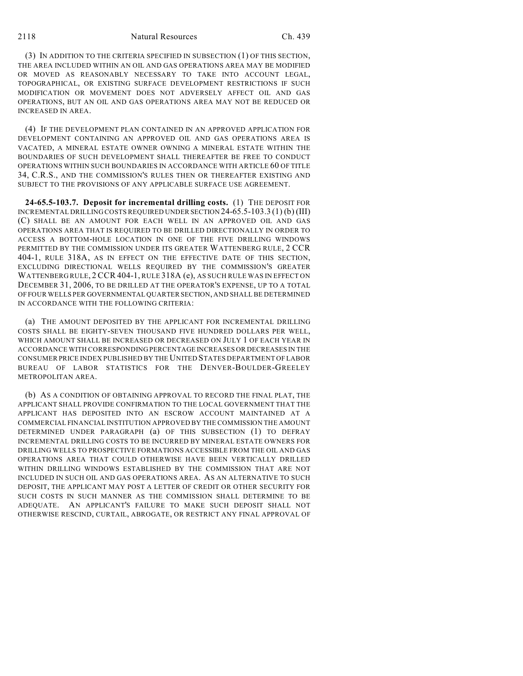### 2118 Natural Resources Ch. 439

(3) IN ADDITION TO THE CRITERIA SPECIFIED IN SUBSECTION (1) OF THIS SECTION, THE AREA INCLUDED WITHIN AN OIL AND GAS OPERATIONS AREA MAY BE MODIFIED OR MOVED AS REASONABLY NECESSARY TO TAKE INTO ACCOUNT LEGAL, TOPOGRAPHICAL, OR EXISTING SURFACE DEVELOPMENT RESTRICTIONS IF SUCH MODIFICATION OR MOVEMENT DOES NOT ADVERSELY AFFECT OIL AND GAS OPERATIONS, BUT AN OIL AND GAS OPERATIONS AREA MAY NOT BE REDUCED OR INCREASED IN AREA.

(4) IF THE DEVELOPMENT PLAN CONTAINED IN AN APPROVED APPLICATION FOR DEVELOPMENT CONTAINING AN APPROVED OIL AND GAS OPERATIONS AREA IS VACATED, A MINERAL ESTATE OWNER OWNING A MINERAL ESTATE WITHIN THE BOUNDARIES OF SUCH DEVELOPMENT SHALL THEREAFTER BE FREE TO CONDUCT OPERATIONS WITHIN SUCH BOUNDARIES IN ACCORDANCE WITH ARTICLE 60 OF TITLE 34, C.R.S., AND THE COMMISSION'S RULES THEN OR THEREAFTER EXISTING AND SUBJECT TO THE PROVISIONS OF ANY APPLICABLE SURFACE USE AGREEMENT.

**24-65.5-103.7. Deposit for incremental drilling costs.** (1) THE DEPOSIT FOR INCREMENTAL DRILLING COSTS REQUIRED UNDER SECTION 24-65.5-103.3 (1) (b) (III) (C) SHALL BE AN AMOUNT FOR EACH WELL IN AN APPROVED OIL AND GAS OPERATIONS AREA THAT IS REQUIRED TO BE DRILLED DIRECTIONALLY IN ORDER TO ACCESS A BOTTOM-HOLE LOCATION IN ONE OF THE FIVE DRILLING WINDOWS PERMITTED BY THE COMMISSION UNDER ITS GREATER WATTENBERG RULE, 2 CCR 404-1, RULE 318A, AS IN EFFECT ON THE EFFECTIVE DATE OF THIS SECTION, EXCLUDING DIRECTIONAL WELLS REQUIRED BY THE COMMISSION'S GREATER WATTENBERG RULE, 2 CCR 404-1, RULE 318A (e), AS SUCH RULE WAS IN EFFECT ON DECEMBER 31, 2006, TO BE DRILLED AT THE OPERATOR'S EXPENSE, UP TO A TOTAL OF FOUR WELLS PER GOVERNMENTAL QUARTER SECTION, AND SHALL BE DETERMINED IN ACCORDANCE WITH THE FOLLOWING CRITERIA:

(a) THE AMOUNT DEPOSITED BY THE APPLICANT FOR INCREMENTAL DRILLING COSTS SHALL BE EIGHTY-SEVEN THOUSAND FIVE HUNDRED DOLLARS PER WELL, WHICH AMOUNT SHALL BE INCREASED OR DECREASED ON JULY 1 OF EACH YEAR IN ACCORDANCE WITH CORRESPONDING PERCENTAGE INCREASES OR DECREASES IN THE CONSUMER PRICE INDEX PUBLISHED BY THE UNITED STATES DEPARTMENT OF LABOR BUREAU OF LABOR STATISTICS FOR THE DENVER-BOULDER-GREELEY METROPOLITAN AREA.

(b) AS A CONDITION OF OBTAINING APPROVAL TO RECORD THE FINAL PLAT, THE APPLICANT SHALL PROVIDE CONFIRMATION TO THE LOCAL GOVERNMENT THAT THE APPLICANT HAS DEPOSITED INTO AN ESCROW ACCOUNT MAINTAINED AT A COMMERCIAL FINANCIAL INSTITUTION APPROVED BY THE COMMISSION THE AMOUNT DETERMINED UNDER PARAGRAPH (a) OF THIS SUBSECTION (1) TO DEFRAY INCREMENTAL DRILLING COSTS TO BE INCURRED BY MINERAL ESTATE OWNERS FOR DRILLING WELLS TO PROSPECTIVE FORMATIONS ACCESSIBLE FROM THE OIL AND GAS OPERATIONS AREA THAT COULD OTHERWISE HAVE BEEN VERTICALLY DRILLED WITHIN DRILLING WINDOWS ESTABLISHED BY THE COMMISSION THAT ARE NOT INCLUDED IN SUCH OIL AND GAS OPERATIONS AREA. AS AN ALTERNATIVE TO SUCH DEPOSIT, THE APPLICANT MAY POST A LETTER OF CREDIT OR OTHER SECURITY FOR SUCH COSTS IN SUCH MANNER AS THE COMMISSION SHALL DETERMINE TO BE ADEQUATE. AN APPLICANT'S FAILURE TO MAKE SUCH DEPOSIT SHALL NOT OTHERWISE RESCIND, CURTAIL, ABROGATE, OR RESTRICT ANY FINAL APPROVAL OF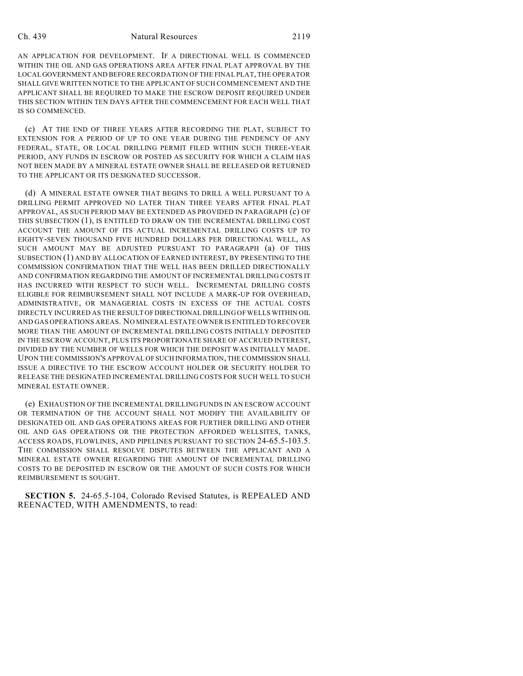### Ch. 439 Natural Resources 2119

AN APPLICATION FOR DEVELOPMENT. IF A DIRECTIONAL WELL IS COMMENCED WITHIN THE OIL AND GAS OPERATIONS AREA AFTER FINAL PLAT APPROVAL BY THE LOCAL GOVERNMENT AND BEFORE RECORDATION OF THE FINAL PLAT, THE OPERATOR SHALL GIVE WRITTEN NOTICE TO THE APPLICANT OF SUCH COMMENCEMENT AND THE APPLICANT SHALL BE REQUIRED TO MAKE THE ESCROW DEPOSIT REQUIRED UNDER THIS SECTION WITHIN TEN DAYS AFTER THE COMMENCEMENT FOR EACH WELL THAT IS SO COMMENCED.

(c) AT THE END OF THREE YEARS AFTER RECORDING THE PLAT, SUBJECT TO EXTENSION FOR A PERIOD OF UP TO ONE YEAR DURING THE PENDENCY OF ANY FEDERAL, STATE, OR LOCAL DRILLING PERMIT FILED WITHIN SUCH THREE-YEAR PERIOD, ANY FUNDS IN ESCROW OR POSTED AS SECURITY FOR WHICH A CLAIM HAS NOT BEEN MADE BY A MINERAL ESTATE OWNER SHALL BE RELEASED OR RETURNED TO THE APPLICANT OR ITS DESIGNATED SUCCESSOR.

(d) A MINERAL ESTATE OWNER THAT BEGINS TO DRILL A WELL PURSUANT TO A DRILLING PERMIT APPROVED NO LATER THAN THREE YEARS AFTER FINAL PLAT APPROVAL, AS SUCH PERIOD MAY BE EXTENDED AS PROVIDED IN PARAGRAPH (c) OF THIS SUBSECTION (1), IS ENTITLED TO DRAW ON THE INCREMENTAL DRILLING COST ACCOUNT THE AMOUNT OF ITS ACTUAL INCREMENTAL DRILLING COSTS UP TO EIGHTY-SEVEN THOUSAND FIVE HUNDRED DOLLARS PER DIRECTIONAL WELL, AS SUCH AMOUNT MAY BE ADJUSTED PURSUANT TO PARAGRAPH (a) OF THIS SUBSECTION (1) AND BY ALLOCATION OF EARNED INTEREST, BY PRESENTING TO THE COMMISSION CONFIRMATION THAT THE WELL HAS BEEN DRILLED DIRECTIONALLY AND CONFIRMATION REGARDING THE AMOUNT OF INCREMENTAL DRILLING COSTS IT HAS INCURRED WITH RESPECT TO SUCH WELL. INCREMENTAL DRILLING COSTS ELIGIBLE FOR REIMBURSEMENT SHALL NOT INCLUDE A MARK-UP FOR OVERHEAD, ADMINISTRATIVE, OR MANAGERIAL COSTS IN EXCESS OF THE ACTUAL COSTS DIRECTLY INCURRED AS THE RESULT OF DIRECTIONAL DRILLING OF WELLS WITHIN OIL AND GAS OPERATIONS AREAS. NO MINERAL ESTATE OWNER IS ENTITLED TO RECOVER MORE THAN THE AMOUNT OF INCREMENTAL DRILLING COSTS INITIALLY DEPOSITED IN THE ESCROW ACCOUNT, PLUS ITS PROPORTIONATE SHARE OF ACCRUED INTEREST, DIVIDED BY THE NUMBER OF WELLS FOR WHICH THE DEPOSIT WAS INITIALLY MADE. UPON THE COMMISSION'S APPROVAL OF SUCH INFORMATION, THE COMMISSION SHALL ISSUE A DIRECTIVE TO THE ESCROW ACCOUNT HOLDER OR SECURITY HOLDER TO RELEASE THE DESIGNATED INCREMENTAL DRILLING COSTS FOR SUCH WELL TO SUCH MINERAL ESTATE OWNER.

(e) EXHAUSTION OF THE INCREMENTAL DRILLING FUNDS IN AN ESCROW ACCOUNT OR TERMINATION OF THE ACCOUNT SHALL NOT MODIFY THE AVAILABILITY OF DESIGNATED OIL AND GAS OPERATIONS AREAS FOR FURTHER DRILLING AND OTHER OIL AND GAS OPERATIONS OR THE PROTECTION AFFORDED WELLSITES, TANKS, ACCESS ROADS, FLOWLINES, AND PIPELINES PURSUANT TO SECTION 24-65.5-103.5. THE COMMISSION SHALL RESOLVE DISPUTES BETWEEN THE APPLICANT AND A MINERAL ESTATE OWNER REGARDING THE AMOUNT OF INCREMENTAL DRILLING COSTS TO BE DEPOSITED IN ESCROW OR THE AMOUNT OF SUCH COSTS FOR WHICH REIMBURSEMENT IS SOUGHT.

**SECTION 5.** 24-65.5-104, Colorado Revised Statutes, is REPEALED AND REENACTED, WITH AMENDMENTS, to read: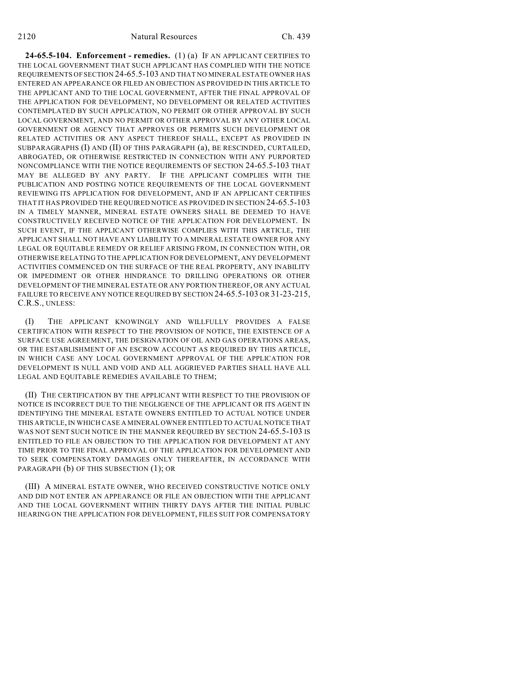**24-65.5-104. Enforcement - remedies.** (1) (a) IF AN APPLICANT CERTIFIES TO THE LOCAL GOVERNMENT THAT SUCH APPLICANT HAS COMPLIED WITH THE NOTICE REQUIREMENTS OF SECTION 24-65.5-103 AND THAT NO MINERAL ESTATE OWNER HAS ENTERED AN APPEARANCE OR FILED AN OBJECTION AS PROVIDED IN THIS ARTICLE TO THE APPLICANT AND TO THE LOCAL GOVERNMENT, AFTER THE FINAL APPROVAL OF THE APPLICATION FOR DEVELOPMENT, NO DEVELOPMENT OR RELATED ACTIVITIES CONTEMPLATED BY SUCH APPLICATION, NO PERMIT OR OTHER APPROVAL BY SUCH LOCAL GOVERNMENT, AND NO PERMIT OR OTHER APPROVAL BY ANY OTHER LOCAL GOVERNMENT OR AGENCY THAT APPROVES OR PERMITS SUCH DEVELOPMENT OR RELATED ACTIVITIES OR ANY ASPECT THEREOF SHALL, EXCEPT AS PROVIDED IN SUBPARAGRAPHS (I) AND (II) OF THIS PARAGRAPH (a), BE RESCINDED, CURTAILED, ABROGATED, OR OTHERWISE RESTRICTED IN CONNECTION WITH ANY PURPORTED NONCOMPLIANCE WITH THE NOTICE REQUIREMENTS OF SECTION 24-65.5-103 THAT MAY BE ALLEGED BY ANY PARTY. IF THE APPLICANT COMPLIES WITH THE PUBLICATION AND POSTING NOTICE REQUIREMENTS OF THE LOCAL GOVERNMENT REVIEWING ITS APPLICATION FOR DEVELOPMENT, AND IF AN APPLICANT CERTIFIES THAT IT HAS PROVIDED THE REQUIRED NOTICE AS PROVIDED IN SECTION 24-65.5-103 IN A TIMELY MANNER, MINERAL ESTATE OWNERS SHALL BE DEEMED TO HAVE CONSTRUCTIVELY RECEIVED NOTICE OF THE APPLICATION FOR DEVELOPMENT. IN SUCH EVENT, IF THE APPLICANT OTHERWISE COMPLIES WITH THIS ARTICLE, THE APPLICANT SHALL NOT HAVE ANY LIABILITY TO A MINERAL ESTATE OWNER FOR ANY LEGAL OR EQUITABLE REMEDY OR RELIEF ARISING FROM, IN CONNECTION WITH, OR OTHERWISE RELATING TO THE APPLICATION FOR DEVELOPMENT, ANY DEVELOPMENT ACTIVITIES COMMENCED ON THE SURFACE OF THE REAL PROPERTY, ANY INABILITY OR IMPEDIMENT OR OTHER HINDRANCE TO DRILLING OPERATIONS OR OTHER DEVELOPMENT OF THE MINERAL ESTATE OR ANY PORTION THEREOF, OR ANY ACTUAL FAILURE TO RECEIVE ANY NOTICE REQUIRED BY SECTION 24-65.5-103 OR 31-23-215, C.R.S., UNLESS:

(I) THE APPLICANT KNOWINGLY AND WILLFULLY PROVIDES A FALSE CERTIFICATION WITH RESPECT TO THE PROVISION OF NOTICE, THE EXISTENCE OF A SURFACE USE AGREEMENT, THE DESIGNATION OF OIL AND GAS OPERATIONS AREAS, OR THE ESTABLISHMENT OF AN ESCROW ACCOUNT AS REQUIRED BY THIS ARTICLE, IN WHICH CASE ANY LOCAL GOVERNMENT APPROVAL OF THE APPLICATION FOR DEVELOPMENT IS NULL AND VOID AND ALL AGGRIEVED PARTIES SHALL HAVE ALL LEGAL AND EQUITABLE REMEDIES AVAILABLE TO THEM;

(II) THE CERTIFICATION BY THE APPLICANT WITH RESPECT TO THE PROVISION OF NOTICE IS INCORRECT DUE TO THE NEGLIGENCE OF THE APPLICANT OR ITS AGENT IN IDENTIFYING THE MINERAL ESTATE OWNERS ENTITLED TO ACTUAL NOTICE UNDER THIS ARTICLE, IN WHICH CASE A MINERAL OWNER ENTITLED TO ACTUAL NOTICE THAT WAS NOT SENT SUCH NOTICE IN THE MANNER REQUIRED BY SECTION 24-65.5-103 IS ENTITLED TO FILE AN OBJECTION TO THE APPLICATION FOR DEVELOPMENT AT ANY TIME PRIOR TO THE FINAL APPROVAL OF THE APPLICATION FOR DEVELOPMENT AND TO SEEK COMPENSATORY DAMAGES ONLY THEREAFTER, IN ACCORDANCE WITH PARAGRAPH (b) OF THIS SUBSECTION (1); OR

(III) A MINERAL ESTATE OWNER, WHO RECEIVED CONSTRUCTIVE NOTICE ONLY AND DID NOT ENTER AN APPEARANCE OR FILE AN OBJECTION WITH THE APPLICANT AND THE LOCAL GOVERNMENT WITHIN THIRTY DAYS AFTER THE INITIAL PUBLIC HEARING ON THE APPLICATION FOR DEVELOPMENT, FILES SUIT FOR COMPENSATORY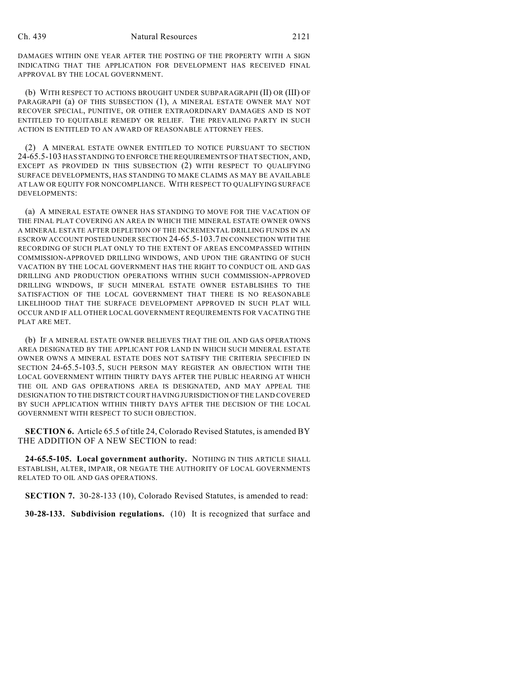DAMAGES WITHIN ONE YEAR AFTER THE POSTING OF THE PROPERTY WITH A SIGN INDICATING THAT THE APPLICATION FOR DEVELOPMENT HAS RECEIVED FINAL APPROVAL BY THE LOCAL GOVERNMENT.

(b) WITH RESPECT TO ACTIONS BROUGHT UNDER SUBPARAGRAPH (II) OR (III) OF PARAGRAPH (a) OF THIS SUBSECTION (1), A MINERAL ESTATE OWNER MAY NOT RECOVER SPECIAL, PUNITIVE, OR OTHER EXTRAORDINARY DAMAGES AND IS NOT ENTITLED TO EQUITABLE REMEDY OR RELIEF. THE PREVAILING PARTY IN SUCH ACTION IS ENTITLED TO AN AWARD OF REASONABLE ATTORNEY FEES.

(2) A MINERAL ESTATE OWNER ENTITLED TO NOTICE PURSUANT TO SECTION 24-65.5-103 HAS STANDING TO ENFORCE THE REQUIREMENTS OF THAT SECTION, AND, EXCEPT AS PROVIDED IN THIS SUBSECTION (2) WITH RESPECT TO QUALIFYING SURFACE DEVELOPMENTS, HAS STANDING TO MAKE CLAIMS AS MAY BE AVAILABLE AT LAW OR EQUITY FOR NONCOMPLIANCE. WITH RESPECT TO QUALIFYING SURFACE DEVELOPMENTS:

(a) A MINERAL ESTATE OWNER HAS STANDING TO MOVE FOR THE VACATION OF THE FINAL PLAT COVERING AN AREA IN WHICH THE MINERAL ESTATE OWNER OWNS A MINERAL ESTATE AFTER DEPLETION OF THE INCREMENTAL DRILLING FUNDS IN AN ESCROW ACCOUNT POSTED UNDER SECTION 24-65.5-103.7 IN CONNECTION WITH THE RECORDING OF SUCH PLAT ONLY TO THE EXTENT OF AREAS ENCOMPASSED WITHIN COMMISSION-APPROVED DRILLING WINDOWS, AND UPON THE GRANTING OF SUCH VACATION BY THE LOCAL GOVERNMENT HAS THE RIGHT TO CONDUCT OIL AND GAS DRILLING AND PRODUCTION OPERATIONS WITHIN SUCH COMMISSION-APPROVED DRILLING WINDOWS, IF SUCH MINERAL ESTATE OWNER ESTABLISHES TO THE SATISFACTION OF THE LOCAL GOVERNMENT THAT THERE IS NO REASONABLE LIKELIHOOD THAT THE SURFACE DEVELOPMENT APPROVED IN SUCH PLAT WILL OCCUR AND IF ALL OTHER LOCAL GOVERNMENT REQUIREMENTS FOR VACATING THE PLAT ARE MET.

(b) IF A MINERAL ESTATE OWNER BELIEVES THAT THE OIL AND GAS OPERATIONS AREA DESIGNATED BY THE APPLICANT FOR LAND IN WHICH SUCH MINERAL ESTATE OWNER OWNS A MINERAL ESTATE DOES NOT SATISFY THE CRITERIA SPECIFIED IN SECTION 24-65.5-103.5, SUCH PERSON MAY REGISTER AN OBJECTION WITH THE LOCAL GOVERNMENT WITHIN THIRTY DAYS AFTER THE PUBLIC HEARING AT WHICH THE OIL AND GAS OPERATIONS AREA IS DESIGNATED, AND MAY APPEAL THE DESIGNATION TO THE DISTRICT COURT HAVING JURISDICTION OF THE LAND COVERED BY SUCH APPLICATION WITHIN THIRTY DAYS AFTER THE DECISION OF THE LOCAL GOVERNMENT WITH RESPECT TO SUCH OBJECTION.

**SECTION 6.** Article 65.5 of title 24, Colorado Revised Statutes, is amended BY THE ADDITION OF A NEW SECTION to read:

**24-65.5-105. Local government authority.** NOTHING IN THIS ARTICLE SHALL ESTABLISH, ALTER, IMPAIR, OR NEGATE THE AUTHORITY OF LOCAL GOVERNMENTS RELATED TO OIL AND GAS OPERATIONS.

**SECTION 7.** 30-28-133 (10), Colorado Revised Statutes, is amended to read:

**30-28-133. Subdivision regulations.** (10) It is recognized that surface and